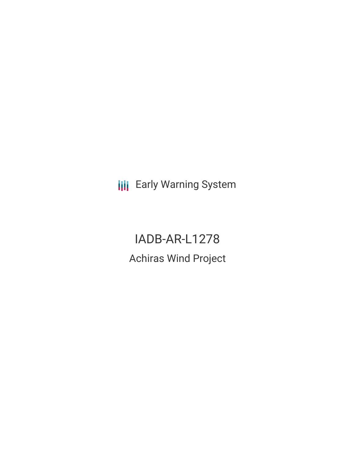**III** Early Warning System

IADB-AR-L1278 Achiras Wind Project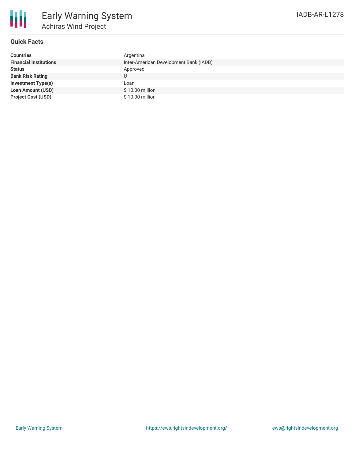

## **Quick Facts**

| <b>Countries</b>              | Argentina                              |
|-------------------------------|----------------------------------------|
| <b>Financial Institutions</b> | Inter-American Development Bank (IADB) |
| <b>Status</b>                 | Approved                               |
| <b>Bank Risk Rating</b>       |                                        |
| <b>Investment Type(s)</b>     | Loan                                   |
| <b>Loan Amount (USD)</b>      | $$10.00$ million                       |
| <b>Project Cost (USD)</b>     | \$10.00 million                        |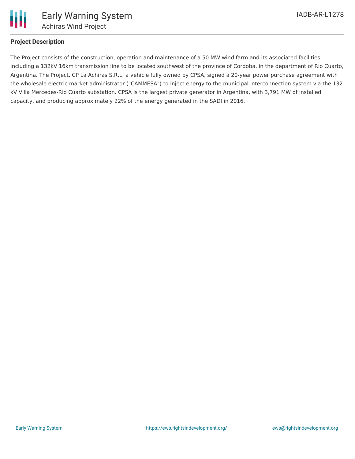

## **Project Description**

The Project consists of the construction, operation and maintenance of a 50 MW wind farm and its associated facilities including a 132kV 16km transmission line to be located southwest of the province of Cordoba, in the department of Rio Cuarto, Argentina. The Project, CP La Achiras S.R.L, a vehicle fully owned by CPSA, signed a 20-year power purchase agreement with the wholesale electric market administrator ("CAMMESA") to inject energy to the municipal interconnection system via the 132 kV Villa Mercedes-Rio Cuarto substation. CPSA is the largest private generator in Argentina, with 3,791 MW of installed capacity, and producing approximately 22% of the energy generated in the SADI in 2016.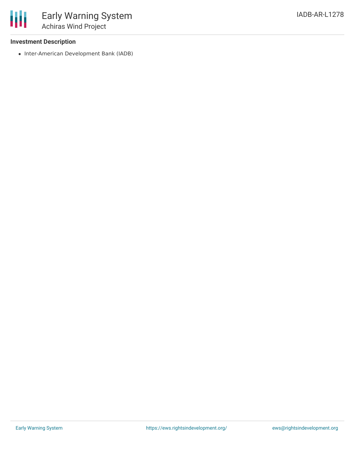## **Investment Description**

冊

• Inter-American Development Bank (IADB)